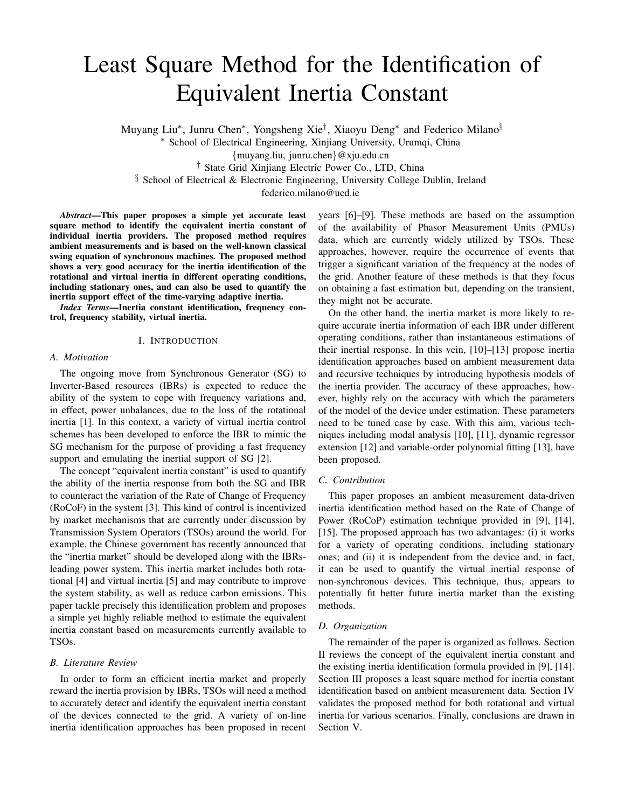# Least Square Method for the Identification of Equivalent Inertia Constant

Muyang Liu<sup>∗</sup>, Junru Chen<sup>∗</sup>, Yongsheng Xie<sup>†</sup>, Xiaoyu Deng<sup>∗</sup> and Federico Milano<sup>§</sup>

<sup>∗</sup> School of Electrical Engineering, Xinjiang University, Urumqi, China

{muyang.liu, junru.chen}@xju.edu.cn

† State Grid Xinjiang Electric Power Co., LTD, China

§ School of Electrical & Electronic Engineering, University College Dublin, Ireland

federico.milano@ucd.ie

*Abstract*—This paper proposes a simple yet accurate least square method to identify the equivalent inertia constant of individual inertia providers. The proposed method requires ambient measurements and is based on the well-known classical swing equation of synchronous machines. The proposed method shows a very good accuracy for the inertia identification of the rotational and virtual inertia in different operating conditions, including stationary ones, and can also be used to quantify the inertia support effect of the time-varying adaptive inertia.

*Index Terms*—Inertia constant identification, frequency control, frequency stability, virtual inertia.

## I. INTRODUCTION

#### *A. Motivation*

The ongoing move from Synchronous Generator (SG) to Inverter-Based resources (IBRs) is expected to reduce the ability of the system to cope with frequency variations and, in effect, power unbalances, due to the loss of the rotational inertia [1]. In this context, a variety of virtual inertia control schemes has been developed to enforce the IBR to mimic the SG mechanism for the purpose of providing a fast frequency support and emulating the inertial support of SG [2].

The concept "equivalent inertia constant" is used to quantify the ability of the inertia response from both the SG and IBR to counteract the variation of the Rate of Change of Frequency (RoCoF) in the system [3]. This kind of control is incentivized by market mechanisms that are currently under discussion by Transmission System Operators (TSOs) around the world. For example, the Chinese government has recently announced that the "inertia market" should be developed along with the IBRsleading power system. This inertia market includes both rotational [4] and virtual inertia [5] and may contribute to improve the system stability, as well as reduce carbon emissions. This paper tackle precisely this identification problem and proposes a simple yet highly reliable method to estimate the equivalent inertia constant based on measurements currently available to TSOs.

# *B. Literature Review*

In order to form an efficient inertia market and properly reward the inertia provision by IBRs, TSOs will need a method to accurately detect and identify the equivalent inertia constant of the devices connected to the grid. A variety of on-line inertia identification approaches has been proposed in recent years [6]–[9]. These methods are based on the assumption of the availability of Phasor Measurement Units (PMUs) data, which are currently widely utilized by TSOs. These approaches, however, require the occurrence of events that trigger a significant variation of the frequency at the nodes of the grid. Another feature of these methods is that they focus on obtaining a fast estimation but, depending on the transient, they might not be accurate.

On the other hand, the inertia market is more likely to require accurate inertia information of each IBR under different operating conditions, rather than instantaneous estimations of their inertial response. In this vein, [10]–[13] propose inertia identification approaches based on ambient measurement data and recursive techniques by introducing hypothesis models of the inertia provider. The accuracy of these approaches, however, highly rely on the accuracy with which the parameters of the model of the device under estimation. These parameters need to be tuned case by case. With this aim, various techniques including modal analysis [10], [11], dynamic regressor extension [12] and variable-order polynomial fitting [13], have been proposed.

# *C. Contribution*

This paper proposes an ambient measurement data-driven inertia identification method based on the Rate of Change of Power (RoCoP) estimation technique provided in [9], [14], [15]. The proposed approach has two advantages: (i) it works for a variety of operating conditions, including stationary ones; and (ii) it is independent from the device and, in fact, it can be used to quantify the virtual inertial response of non-synchronous devices. This technique, thus, appears to potentially fit better future inertia market than the existing methods.

## *D. Organization*

The remainder of the paper is organized as follows. Section II reviews the concept of the equivalent inertia constant and the existing inertia identification formula provided in [9], [14]. Section III proposes a least square method for inertia constant identification based on ambient measurement data. Section IV validates the proposed method for both rotational and virtual inertia for various scenarios. Finally, conclusions are drawn in Section V.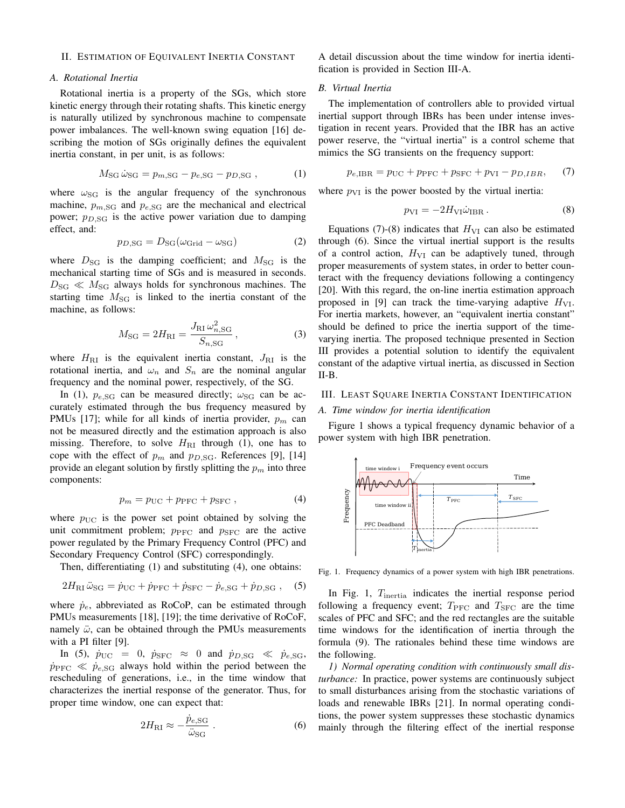## II. ESTIMATION OF EQUIVALENT INERTIA CONSTANT

# *A. Rotational Inertia*

Rotational inertia is a property of the SGs, which store kinetic energy through their rotating shafts. This kinetic energy is naturally utilized by synchronous machine to compensate power imbalances. The well-known swing equation [16] describing the motion of SGs originally defines the equivalent inertia constant, in per unit, is as follows:

$$
M_{\rm SG} \,\dot{\omega}_{\rm SG} = p_{m,\rm SG} - p_{e,\rm SG} - p_{D,\rm SG} \,,\tag{1}
$$

where  $\omega_{SG}$  is the angular frequency of the synchronous machine,  $p_{m,SG}$  and  $p_{e,SG}$  are the mechanical and electrical power;  $p_{D,SG}$  is the active power variation due to damping effect, and:

$$
p_{D,SG} = D_{SG}(\omega_{\text{Grid}} - \omega_{SG})
$$
 (2)

where  $D_{\rm SG}$  is the damping coefficient; and  $M_{\rm SG}$  is the mechanical starting time of SGs and is measured in seconds.  $D_{\rm SG} \ll M_{\rm SG}$  always holds for synchronous machines. The starting time  $M_{\text{SG}}$  is linked to the inertia constant of the machine, as follows:

$$
M_{\rm SG} = 2H_{\rm RI} = \frac{J_{\rm RI} \,\omega_{n, \rm SG}^2}{S_{n, \rm SG}},
$$
 (3)

where  $H_{\text{RI}}$  is the equivalent inertia constant,  $J_{\text{RI}}$  is the rotational inertia, and  $\omega_n$  and  $S_n$  are the nominal angular frequency and the nominal power, respectively, of the SG.

In (1),  $p_{e,SG}$  can be measured directly;  $\omega_{SG}$  can be accurately estimated through the bus frequency measured by PMUs [17]; while for all kinds of inertia provider,  $p_m$  can not be measured directly and the estimation approach is also missing. Therefore, to solve  $H<sub>RI</sub>$  through (1), one has to cope with the effect of  $p_m$  and  $p_{D,SG}$ . References [9], [14] provide an elegant solution by firstly splitting the  $p_m$  into three components:

$$
p_m = p_{\text{UC}} + p_{\text{PFC}} + p_{\text{SFC}} , \qquad (4)
$$

where  $p_{\text{UC}}$  is the power set point obtained by solving the unit commitment problem;  $p_{\text{PFC}}$  and  $p_{\text{SFC}}$  are the active power regulated by the Primary Frequency Control (PFC) and Secondary Frequency Control (SFC) correspondingly.

Then, differentiating (1) and substituting (4), one obtains:

$$
2H_{\rm RI}\ddot{\omega}_{\rm SG} = \dot{p}_{\rm UC} + \dot{p}_{\rm PFC} + \dot{p}_{\rm SFC} - \dot{p}_{e,\rm SG} + \dot{p}_{D,\rm SG} \,, \quad (5)
$$

where  $\dot{p}_e$ , abbreviated as RoCoP, can be estimated through PMUs measurements [18], [19]; the time derivative of RoCoF, namely  $\ddot{\omega}$ , can be obtained through the PMUs measurements with a PI filter [9].

In (5),  $\dot{p}_{\text{UC}} = 0$ ,  $\dot{p}_{\text{SFC}} \approx 0$  and  $\dot{p}_{D,\text{SG}} \ll \dot{p}_{e,\text{SG}}$ ,  $\dot{p}_{\text{PFC}} \ll \dot{p}_{e,SG}$  always hold within the period between the rescheduling of generations, i.e., in the time window that characterizes the inertial response of the generator. Thus, for proper time window, one can expect that:

$$
2H_{\rm RI} \approx -\frac{\dot{p}_{e,\rm SG}}{\ddot{\omega}_{\rm SG}}\,. \tag{6}
$$

A detail discussion about the time window for inertia identification is provided in Section III-A.

## *B. Virtual Inertia*

The implementation of controllers able to provided virtual inertial support through IBRs has been under intense investigation in recent years. Provided that the IBR has an active power reserve, the "virtual inertia" is a control scheme that mimics the SG transients on the frequency support:

$$
p_{e,\text{IBR}} = p_{\text{UC}} + p_{\text{PFC}} + p_{\text{SFC}} + p_{\text{VI}} - p_{D,\text{IBR}},\qquad(7)
$$

where  $p_{VI}$  is the power boosted by the virtual inertia:

$$
p_{\rm VI} = -2H_{\rm VI}\dot{\omega}_{\rm IBR} \,. \tag{8}
$$

Equations (7)-(8) indicates that  $H_{VI}$  can also be estimated through (6). Since the virtual inertial support is the results of a control action,  $H_{VI}$  can be adaptively tuned, through proper measurements of system states, in order to better counteract with the frequency deviations following a contingency [20]. With this regard, the on-line inertia estimation approach proposed in [9] can track the time-varying adaptive  $H_{\text{VI}}$ . For inertia markets, however, an "equivalent inertia constant" should be defined to price the inertia support of the timevarying inertia. The proposed technique presented in Section III provides a potential solution to identify the equivalent constant of the adaptive virtual inertia, as discussed in Section II-B.

#### III. LEAST SQUARE INERTIA CONSTANT IDENTIFICATION

## *A. Time window for inertia identification*

Figure 1 shows a typical frequency dynamic behavior of a power system with high IBR penetration.



Fig. 1. Frequency dynamics of a power system with high IBR penetrations.

In Fig. 1, T<sub>inertia</sub> indicates the inertial response period following a frequency event;  $T_{\text{PFC}}$  and  $T_{\text{SFC}}$  are the time scales of PFC and SFC; and the red rectangles are the suitable time windows for the identification of inertia through the formula (9). The rationales behind these time windows are the following.

*1) Normal operating condition with continuously small disturbance:* In practice, power systems are continuously subject to small disturbances arising from the stochastic variations of loads and renewable IBRs [21]. In normal operating conditions, the power system suppresses these stochastic dynamics mainly through the filtering effect of the inertial response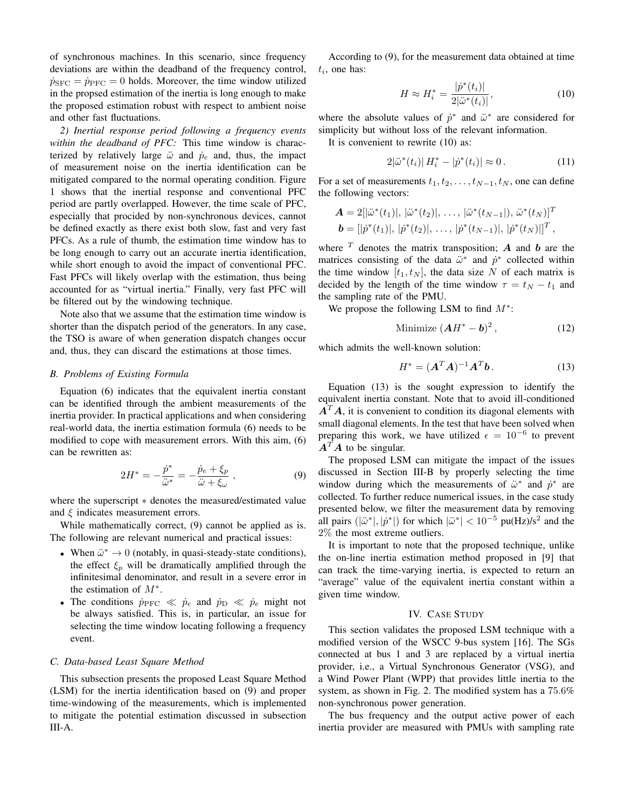of synchronous machines. In this scenario, since frequency deviations are within the deadband of the frequency control,  $\dot{p}_{SFC} = \dot{p}_{PFC} = 0$  holds. Moreover, the time window utilized in the propsed estimation of the inertia is long enough to make the proposed estimation robust with respect to ambient noise and other fast fluctuations.

*2) Inertial response period following a frequency events within the deadband of PFC:* This time window is characterized by relatively large  $\ddot{\omega}$  and  $\dot{p}_e$  and, thus, the impact of measurement noise on the inertia identification can be mitigated compared to the normal operating condition. Figure 1 shows that the inertial response and conventional PFC period are partly overlapped. However, the time scale of PFC, especially that procided by non-synchronous devices, cannot be defined exactly as there exist both slow, fast and very fast PFCs. As a rule of thumb, the estimation time window has to be long enough to carry out an accurate inertia identification, while short enough to avoid the impact of conventional PFC. Fast PFCs will likely overlap with the estimation, thus being accounted for as "virtual inertia." Finally, very fast PFC will be filtered out by the windowing technique.

Note also that we assume that the estimation time window is shorter than the dispatch period of the generators. In any case, the TSO is aware of when generation dispatch changes occur and, thus, they can discard the estimations at those times.

#### *B. Problems of Existing Formula*

Equation (6) indicates that the equivalent inertia constant can be identified through the ambient measurements of the inertia provider. In practical applications and when considering real-world data, the inertia estimation formula (6) needs to be modified to cope with measurement errors. With this aim, (6) can be rewritten as:

$$
2H^* = -\frac{\dot{p}^*}{\ddot{\omega}^*} = -\frac{\dot{p}_e + \xi_p}{\ddot{\omega} + \xi_\omega} \,, \tag{9}
$$

where the superscript ∗ denotes the measured/estimated value and  $\xi$  indicates measurement errors.

While mathematically correct, (9) cannot be applied as is. The following are relevant numerical and practical issues:

- When  $\ddot{\omega}^* \to 0$  (notably, in quasi-steady-state conditions), the effect  $\xi_p$  will be dramatically amplified through the infinitesimal denominator, and result in a severe error in the estimation of  $M^*$ .
- The conditions  $\dot{p}_{\text{PFC}} \ll \dot{p}_e$  and  $\dot{p}_{\text{D}} \ll \dot{p}_e$  might not be always satisfied. This is, in particular, an issue for selecting the time window locating following a frequency event.

# *C. Data-based Least Square Method*

This subsection presents the proposed Least Square Method (LSM) for the inertia identification based on (9) and proper time-windowing of the measurements, which is implemented to mitigate the potential estimation discussed in subsection III-A.

According to (9), for the measurement data obtained at time  $t_i$ , one has:

$$
H \approx H_i^* = \frac{|\dot{p}^*(t_i)|}{2|\ddot{\omega}^*(t_i)|},\tag{10}
$$

where the absolute values of  $\dot{p}^*$  and  $\ddot{\omega}^*$  are considered for simplicity but without loss of the relevant information.

It is convenient to rewrite (10) as:

$$
2|\ddot{\omega}^*(t_i)|H_i^* - |\dot{p}^*(t_i)| \approx 0.
$$
 (11)

For a set of measurements  $t_1, t_2, \ldots, t_{N-1}, t_N$ , one can define the following vectors:

$$
\mathbf{A} = 2[|\ddot{\omega}^*(t_1)|, |\ddot{\omega}^*(t_2)|, \dots, |\ddot{\omega}^*(t_{N-1}|), \ddot{\omega}^*(t_N)]^T
$$
  

$$
\mathbf{b} = [|\dot{p}^*(t_1)|, |\dot{p}^*(t_2)|, \dots, |\dot{p}^*(t_{N-1})|, |\dot{p}^*(t_N)||^T,
$$

where  $T$  denotes the matrix transposition;  $\boldsymbol{A}$  and  $\boldsymbol{b}$  are the matrices consisting of the data  $\ddot{\omega}^*$  and  $\dot{p}^*$  collected within the time window  $[t_1, t_N]$ , the data size N of each matrix is decided by the length of the time window  $\tau = t_N - t_1$  and the sampling rate of the PMU.

We propose the following LSM to find  $M^*$ :

Minimize 
$$
(AH^* - b)^2
$$
, (12)

which admits the well-known solution:

$$
H^* = (\mathbf{A}^T \mathbf{A})^{-1} \mathbf{A}^T \mathbf{b}.
$$
 (13)

Equation (13) is the sought expression to identify the equivalent inertia constant. Note that to avoid ill-conditioned  $A<sup>T</sup>A$ , it is convenient to condition its diagonal elements with small diagonal elements. In the test that have been solved when preparing this work, we have utilized  $\epsilon = 10^{-6}$  to prevent  $A^T A$  to be singular.

The proposed LSM can mitigate the impact of the issues discussed in Section III-B by properly selecting the time window during which the measurements of  $\ddot{\omega}^*$  and  $\dot{p}^*$  are collected. To further reduce numerical issues, in the case study presented below, we filter the measurement data by removing all pairs  $(|\ddot{\omega}^*|, |\dot{p}^*|)$  for which  $|\ddot{\omega}^*| < 10^{-5}$  pu(Hz)/s<sup>2</sup> and the 2% the most extreme outliers.

It is important to note that the proposed technique, unlike the on-line inertia estimation method proposed in [9] that can track the time-varying inertia, is expected to return an "average" value of the equivalent inertia constant within a given time window.

## IV. CASE STUDY

This section validates the proposed LSM technique with a modified version of the WSCC 9-bus system [16]. The SGs connected at bus 1 and 3 are replaced by a virtual inertia provider, i.e., a Virtual Synchronous Generator (VSG), and a Wind Power Plant (WPP) that provides little inertia to the system, as shown in Fig. 2. The modified system has a 75.6% non-synchronous power generation.

The bus frequency and the output active power of each inertia provider are measured with PMUs with sampling rate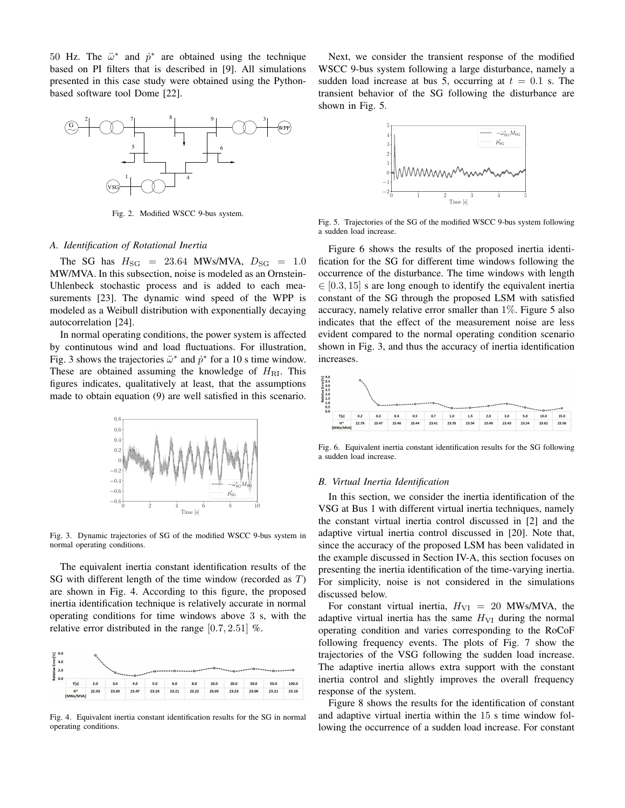50 Hz. The  $\ddot{\omega}^*$  and  $\dot{p}^*$  are obtained using the technique based on PI filters that is described in [9]. All simulations presented in this case study were obtained using the Pythonbased software tool Dome [22].



Fig. 2. Modified WSCC 9-bus system.

## *A. Identification of Rotational Inertia*

The SG has  $H_{\text{SG}} = 23.64 \text{ MWs/MVA}, D_{\text{SG}} = 1.0$ MW/MVA. In this subsection, noise is modeled as an Ornstein-Uhlenbeck stochastic process and is added to each measurements [23]. The dynamic wind speed of the WPP is modeled as a Weibull distribution with exponentially decaying autocorrelation [24].

In normal operating conditions, the power system is affected by continutous wind and load fluctuations. For illustration, Fig. 3 shows the trajectories  $\ddot{\omega}^*$  and  $\dot{p}^*$  for a 10 s time window. These are obtained assuming the knowledge of  $H<sub>RI</sub>$ . This figures indicates, qualitatively at least, that the assumptions made to obtain equation (9) are well satisfied in this scenario.



Fig. 3. Dynamic trajectories of SG of the modified WSCC 9-bus system in normal operating conditions.

The equivalent inertia constant identification results of the SG with different length of the time window (recorded as  $T$ ) are shown in Fig. 4. According to this figure, the proposed inertia identification technique is relatively accurate in normal operating conditions for time windows above 3 s, with the relative error distributed in the range  $[0.7, 2.51]$  %.

| $\frac{6}{100}$ 6.0<br>Energy |      | ົ   |     |     |     |     |     |      |      |      |      |       |
|-------------------------------|------|-----|-----|-----|-----|-----|-----|------|------|------|------|-------|
| Relative<br>0.0               | .    |     |     |     |     |     |     |      |      |      |      |       |
|                               |      |     |     |     |     |     |     |      |      |      |      |       |
|                               | T[s] | 2.0 | 3.0 | 4.0 | 5.0 | 6.0 | 8.0 | 10.0 | 20.0 | 30.0 | 50.0 | 100.0 |

Fig. 4. Equivalent inertia constant identification results for the SG in normal operating conditions.

Next, we consider the transient response of the modified WSCC 9-bus system following a large disturbance, namely a sudden load increase at bus 5, occurring at  $t = 0.1$  s. The transient behavior of the SG following the disturbance are shown in Fig. 5.



Fig. 5. Trajectories of the SG of the modified WSCC 9-bus system following a sudden load increase.

Figure 6 shows the results of the proposed inertia identification for the SG for different time windows following the occurrence of the disturbance. The time windows with length  $\in [0.3, 15]$  s are long enough to identify the equivalent inertia constant of the SG through the proposed LSM with satisfied accuracy, namely relative error smaller than  $1\%$ . Figure 5 also indicates that the effect of the measurement noise are less evident compared to the normal operating condition scenario shown in Fig. 3, and thus the accuracy of inertia identification increases.



Fig. 6. Equivalent inertia constant identification results for the SG following a sudden load increase.

#### *B. Virtual Inertia Identification*

In this section, we consider the inertia identification of the VSG at Bus 1 with different virtual inertia techniques, namely the constant virtual inertia control discussed in [2] and the adaptive virtual inertia control discussed in [20]. Note that, since the accuracy of the proposed LSM has been validated in the example discussed in Section IV-A, this section focuses on presenting the inertia identification of the time-varying inertia. For simplicity, noise is not considered in the simulations discussed below.

For constant virtual inertia,  $H_{VI} = 20$  MWs/MVA, the adaptive virtual inertia has the same  $H_{VI}$  during the normal operating condition and varies corresponding to the RoCoF following frequency events. The plots of Fig. 7 show the trajectories of the VSG following the sudden load increase. The adaptive inertia allows extra support with the constant inertia control and slightly improves the overall frequency response of the system.

Figure 8 shows the results for the identification of constant and adaptive virtual inertia within the 15 s time window following the occurrence of a sudden load increase. For constant